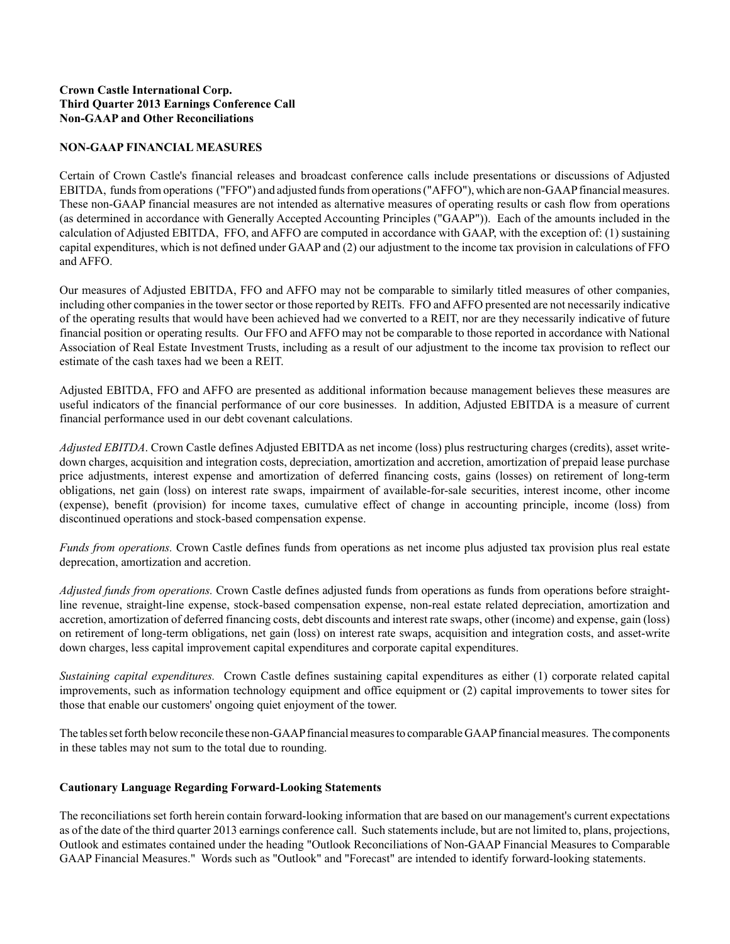## **Crown Castle International Corp. Third Quarter 2013 Earnings Conference Call Non-GAAP and Other Reconciliations**

## **NON-GAAP FINANCIAL MEASURES**

Certain of Crown Castle's financial releases and broadcast conference calls include presentations or discussions of Adjusted EBITDA, funds from operations ("FFO") and adjusted funds from operations ("AFFO"), which are non-GAAPfinancial measures. These non-GAAP financial measures are not intended as alternative measures of operating results or cash flow from operations (as determined in accordance with Generally Accepted Accounting Principles ("GAAP")). Each of the amounts included in the calculation of Adjusted EBITDA, FFO, and AFFO are computed in accordance with GAAP, with the exception of: (1) sustaining capital expenditures, which is not defined under GAAPand (2) our adjustment to the income tax provision in calculations of FFO and AFFO.

Our measures of Adjusted EBITDA, FFO and AFFO may not be comparable to similarly titled measures of other companies, including other companies in the tower sector or those reported by REITs. FFO and AFFO presented are not necessarily indicative of the operating results that would have been achieved had we converted to a REIT, nor are they necessarily indicative of future financial position or operating results. Our FFO and AFFO may not be comparable to those reported in accordance with National Association of Real Estate Investment Trusts, including as a result of our adjustment to the income tax provision to reflect our estimate of the cash taxes had we been a REIT.

Adjusted EBITDA, FFO and AFFO are presented as additional information because management believes these measures are useful indicators of the financial performance of our core businesses. In addition, Adjusted EBITDA is a measure of current financial performance used in our debt covenant calculations.

*Adjusted EBITDA*. Crown Castle defines Adjusted EBITDA as net income (loss) plus restructuring charges (credits), asset writedown charges, acquisition and integration costs, depreciation, amortization and accretion, amortization of prepaid lease purchase price adjustments, interest expense and amortization of deferred financing costs, gains (losses) on retirement of long-term obligations, net gain (loss) on interest rate swaps, impairment of available-for-sale securities, interest income, other income (expense), benefit (provision) for income taxes, cumulative effect of change in accounting principle, income (loss) from discontinued operations and stock-based compensation expense.

*Funds from operations.* Crown Castle defines funds from operations as net income plus adjusted tax provision plus real estate deprecation, amortization and accretion.

*Adjusted funds from operations.* Crown Castle defines adjusted funds from operations as funds from operations before straightline revenue, straight-line expense, stock-based compensation expense, non-real estate related depreciation, amortization and accretion, amortization of deferred financing costs, debt discounts and interest rate swaps, other (income) and expense, gain (loss) on retirement of long-term obligations, net gain (loss) on interest rate swaps, acquisition and integration costs, and asset-write down charges, less capital improvement capital expenditures and corporate capital expenditures.

*Sustaining capital expenditures.* Crown Castle defines sustaining capital expenditures as either (1) corporate related capital improvements, such as information technology equipment and office equipment or (2) capital improvements to tower sites for those that enable our customers' ongoing quiet enjoyment of the tower.

The tables set forth below reconcile these non-GAAPfinancial measures to comparable GAAPfinancial measures. The components in these tables may not sum to the total due to rounding.

## **Cautionary Language Regarding Forward-Looking Statements**

The reconciliations set forth herein contain forward-looking information that are based on our management's current expectations as of the date of the third quarter 2013 earnings conference call. Such statements include, but are not limited to, plans, projections, Outlook and estimates contained under the heading "Outlook Reconciliations of Non-GAAP Financial Measures to Comparable GAAP Financial Measures." Words such as "Outlook" and "Forecast" are intended to identify forward-looking statements.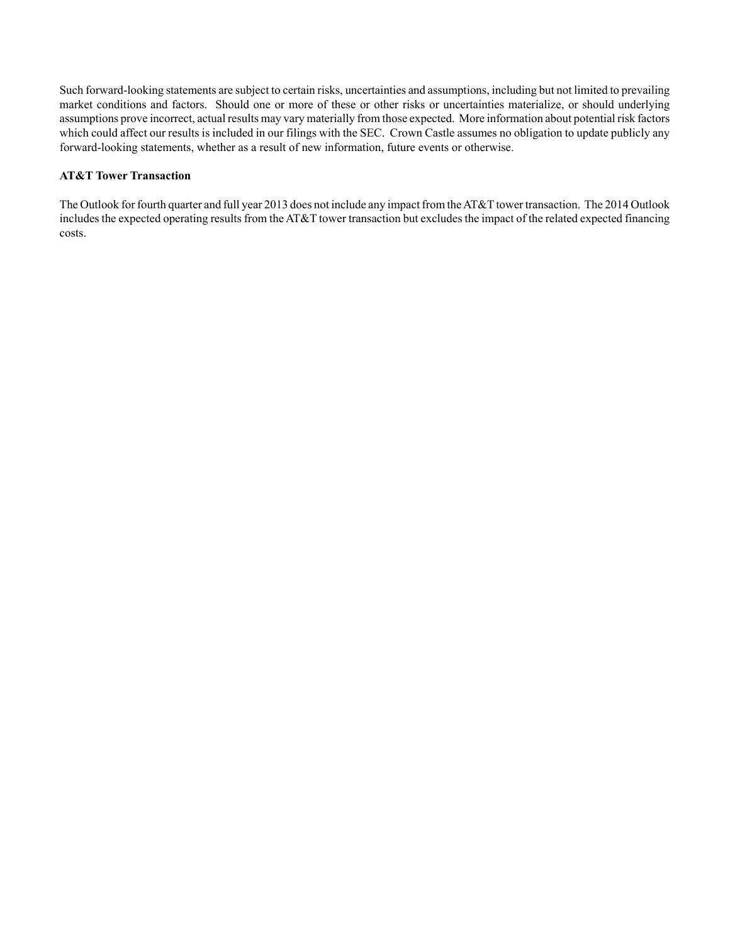Such forward-looking statements are subject to certain risks, uncertainties and assumptions, including but not limited to prevailing market conditions and factors. Should one or more of these or other risks or uncertainties materialize, or should underlying assumptions prove incorrect, actual results may vary materially from those expected. More information about potential risk factors which could affect our results is included in our filings with the SEC. Crown Castle assumes no obligation to update publicly any forward-looking statements, whether as a result of new information, future events or otherwise.

## **AT&T Tower Transaction**

The Outlook for fourth quarter and full year 2013 does not include any impact from the AT&T tower transaction. The 2014 Outlook includes the expected operating results from the AT&T tower transaction but excludes the impact of the related expected financing costs.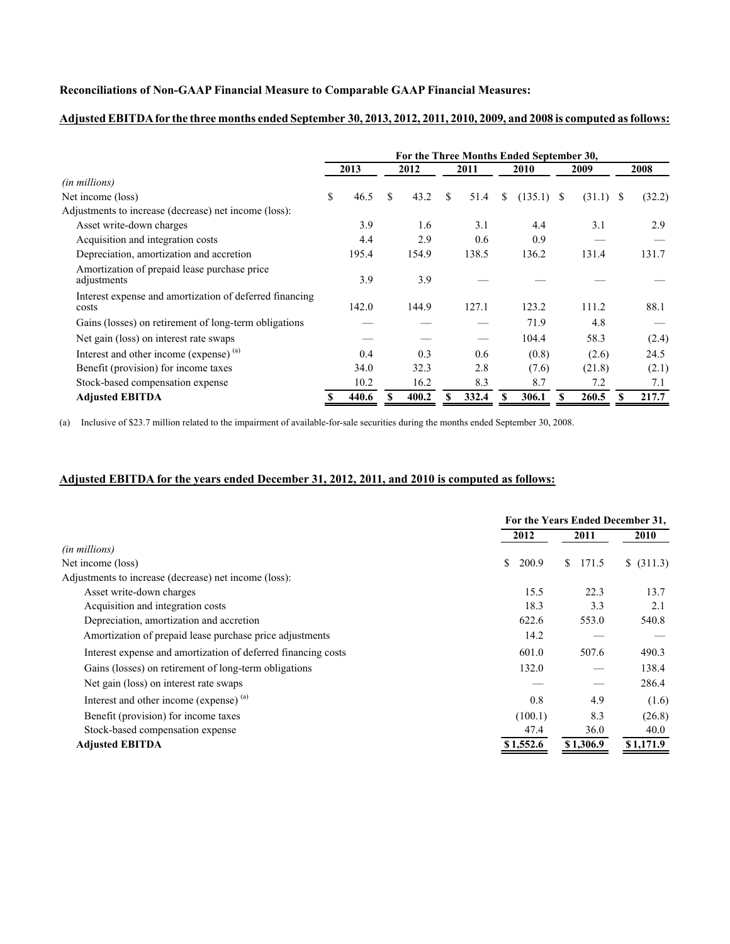#### **Reconciliations of Non-GAAP Financial Measure to Comparable GAAP Financial Measures:**

## **For the Three Months Ended September 30, 2013 2012 2011 2010 2009 2008** *(in millions)* Net income (loss) \$ 46.5 \$ 43.2 \$ 51.4 \$ (135.1) \$ (31.1) \$ (32.2) Adjustments to increase (decrease) net income (loss): Asset write-down charges 2.9 2.9 1.6 3.1 4.4 3.1 2.9 Acquisition and integration costs  $4.4$   $2.9$   $0.6$   $0.9$ Depreciation, amortization and accretion 195.4 154.9 138.5 136.2 131.4 131.7 Amortization of prepaid lease purchase price adjustments  $\overline{3.9}$   $\overline{3.9}$   $\overline{4.9}$   $\overline{4.9}$   $\overline{4.9}$   $\overline{4.9}$   $\overline{4.9}$   $\overline{4.9}$   $\overline{4.9}$   $\overline{4.9}$   $\overline{4.9}$   $\overline{4.9}$   $\overline{4.9}$   $\overline{4.9}$   $\overline{4.9}$   $\overline{4.9}$   $\overline{4.9}$   $\overline{4.9}$   $\overline{4.9}$  Interest expense and amortization of deferred financing costs 142.0 144.9 127.1 123.2 111.2 88.1 Gains (losses) on retirement of long-term obligations — — — — 71.9 4.8 — Net gain (loss) on interest rate swaps — — — 104.4 58.3 (2.4) Interest and other income (expense) <sup>(a)</sup> 0.4 0.3 0.6 (0.8) (2.6) 24.5 Benefit (provision) for income taxes 34.0 32.3 2.8 (7.6) (21.8) (2.1) Stock-based compensation expense 10.2 16.2 8.3 8.7 7.2 7.1 **Adjusted EBITDA \$ 440.6 \$ 400.2 \$ 332.4 \$ 306.1 \$ 260.5 \$ 217.7**

#### **Adjusted EBITDAfor the three months ended September 30, 2013, 2012, 2011, 2010, 2009, and 2008 is computed as follows:**

(a) Inclusive of \$23.7 million related to the impairment of available-for-sale securities during the months ended September 30, 2008.

## **Adjusted EBITDA for the years ended December 31, 2012, 2011, and 2010 is computed as follows:**

|                                                               | For the Years Ended December 31, |             |            |
|---------------------------------------------------------------|----------------------------------|-------------|------------|
|                                                               | 2012                             | 2011        | 2010       |
| <i>(in millions)</i>                                          |                                  |             |            |
| Net income (loss)                                             | 200.9<br>\$                      | 171.5<br>S. | \$ (311.3) |
| Adjustments to increase (decrease) net income (loss):         |                                  |             |            |
| Asset write-down charges                                      | 15.5                             | 22.3        | 13.7       |
| Acquisition and integration costs                             | 18.3                             | 3.3         | 2.1        |
| Depreciation, amortization and accretion                      | 622.6                            | 553.0       | 540.8      |
| Amortization of prepaid lease purchase price adjustments      | 14.2                             |             |            |
| Interest expense and amortization of deferred financing costs | 601.0                            | 507.6       | 490.3      |
| Gains (losses) on retirement of long-term obligations         | 132.0                            |             | 138.4      |
| Net gain (loss) on interest rate swaps                        |                                  |             | 286.4      |
| Interest and other income (expense) (a)                       | 0.8                              | 4.9         | (1.6)      |
| Benefit (provision) for income taxes                          | (100.1)                          | 8.3         | (26.8)     |
| Stock-based compensation expense                              | 47.4                             | 36.0        | 40.0       |
| <b>Adjusted EBITDA</b>                                        | \$1,552.6                        | \$1,306.9   | \$1,171.9  |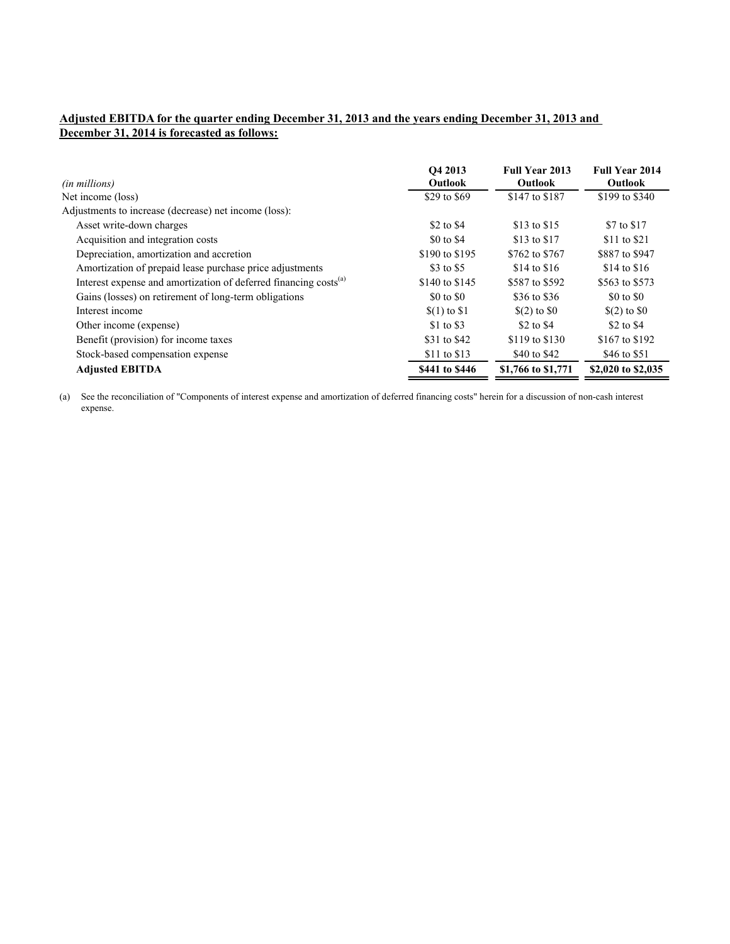# **Adjusted EBITDA for the quarter ending December 31, 2013 and the years ending December 31, 2013 and December 31, 2014 is forecasted as follows:**

| (in millions)                                                                | O4 2013<br><b>Outlook</b> | <b>Full Year 2013</b><br><b>Outlook</b> | <b>Full Year 2014</b><br><b>Outlook</b> |
|------------------------------------------------------------------------------|---------------------------|-----------------------------------------|-----------------------------------------|
| Net income (loss)                                                            | \$29 to \$69              | \$147 to \$187                          | \$199 to \$340                          |
| Adjustments to increase (decrease) net income (loss):                        |                           |                                         |                                         |
| Asset write-down charges                                                     | \$2 to \$4                | \$13 to \$15                            | \$7 to \$17                             |
| Acquisition and integration costs                                            | \$0 to \$4                | \$13 to \$17                            | \$11 to \$21                            |
| Depreciation, amortization and accretion                                     | \$190 to \$195            | \$762 to \$767                          | \$887 to \$947                          |
| Amortization of prepaid lease purchase price adjustments                     | \$3 to \$5                | $$14$ to $$16$                          | $$14$ to $$16$                          |
| Interest expense and amortization of deferred financing costs <sup>(a)</sup> | \$140 to \$145            | \$587 to \$592                          | \$563 to \$573                          |
| Gains (losses) on retirement of long-term obligations                        | \$0 to \$0                | \$36 to \$36                            | \$0 to \$0                              |
| Interest income                                                              | $(1)$ to \$1              | $(2)$ to $\$0$                          | $(2)$ to $\$0$                          |
| Other income (expense)                                                       | \$1 to \$3                | \$2 to \$4                              | \$2 to \$4                              |
| Benefit (provision) for income taxes                                         | \$31 to \$42              | \$119 to \$130                          | \$167 to \$192                          |
| Stock-based compensation expense                                             | \$11 to \$13              | \$40 to \$42                            | \$46 to \$51                            |
| <b>Adjusted EBITDA</b>                                                       | \$441 to \$446            | \$1,766 to \$1,771                      | \$2,020 to \$2,035                      |

(a) See the reconciliation of "Components of interest expense and amortization of deferred financing costs" herein for a discussion of non-cash interest expense.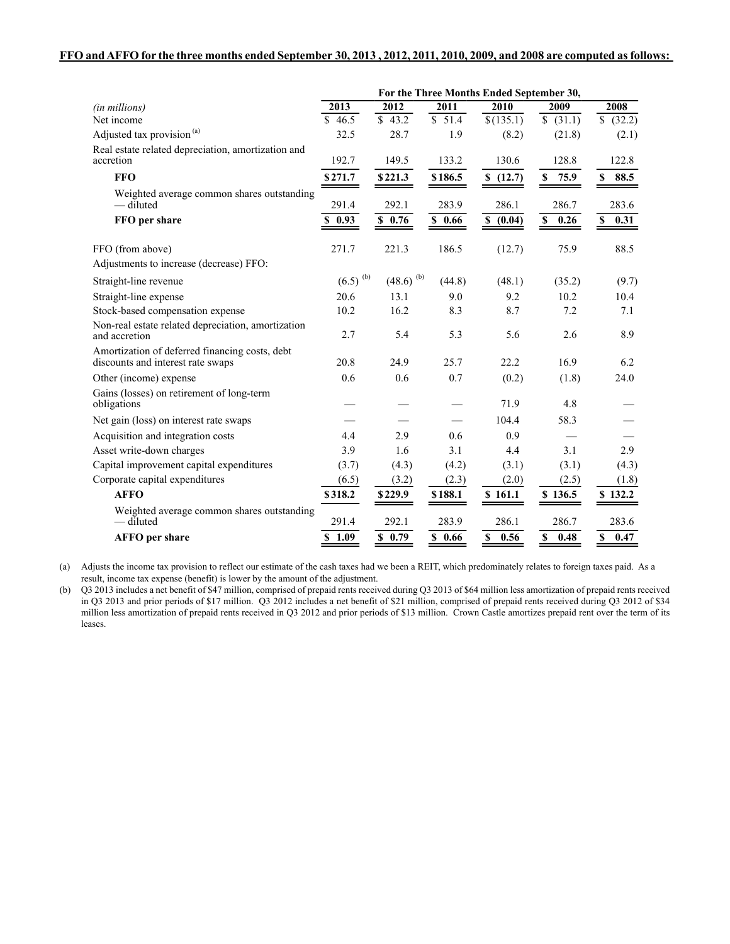#### **FFO and AFFO for the three months ended September 30, 2013 , 2012, 2011, 2010, 2009, and 2008 are computed as follows:**

|                                                                                     | For the Three Months Ended September 30, |                         |         |                  |                     |                        |
|-------------------------------------------------------------------------------------|------------------------------------------|-------------------------|---------|------------------|---------------------|------------------------|
| (in millions)                                                                       | 2013                                     | 2012                    | 2011    | 2010             | 2009                | 2008                   |
| Net income                                                                          | \$46.5                                   | \$43.2                  | \$51.4  | $\sqrt{(135.1)}$ | \$ (31.1)           | $\overline{\$}$ (32.2) |
| Adjusted tax provision <sup>(a)</sup>                                               | 32.5                                     | 28.7                    | 1.9     | (8.2)            | (21.8)              | (2.1)                  |
| Real estate related depreciation, amortization and<br>accretion                     | 192.7                                    | 149.5                   | 133.2   | 130.6            | 128.8               | 122.8                  |
| <b>FFO</b>                                                                          | \$271.7                                  | \$221.3                 | \$186.5 | \$ (12.7)        | 75.9<br>\$          | \$<br>88.5             |
| Weighted average common shares outstanding<br>— diluted                             | 291.4                                    | 292.1                   | 283.9   | 286.1            | 286.7               | 283.6                  |
| FFO per share                                                                       | \$0.93                                   | \$0.76                  | \$0.66  | S(0.04)          | $\mathbb S$<br>0.26 | $\mathbb{S}$<br>0.31   |
| FFO (from above)                                                                    | 271.7                                    | 221.3                   | 186.5   | (12.7)           | 75.9                | 88.5                   |
| Adjustments to increase (decrease) FFO:                                             |                                          |                         |         |                  |                     |                        |
| Straight-line revenue                                                               | $(6.5)^{(b)}$                            | $(48.6)$ <sup>(b)</sup> | (44.8)  | (48.1)           | (35.2)              | (9.7)                  |
| Straight-line expense                                                               | 20.6                                     | 13.1                    | 9.0     | 9.2              | 10.2                | 10.4                   |
| Stock-based compensation expense                                                    | 10.2                                     | 16.2                    | 8.3     | 8.7              | 7.2                 | 7.1                    |
| Non-real estate related depreciation, amortization<br>and accretion                 | 2.7                                      | 5.4                     | 5.3     | 5.6              | 2.6                 | 8.9                    |
| Amortization of deferred financing costs, debt<br>discounts and interest rate swaps | 20.8                                     | 24.9                    | 25.7    | 22.2             | 16.9                | 6.2                    |
| Other (income) expense                                                              | 0.6                                      | 0.6                     | 0.7     | (0.2)            | (1.8)               | 24.0                   |
| Gains (losses) on retirement of long-term<br>obligations                            |                                          |                         |         | 71.9             | 4.8                 |                        |
| Net gain (loss) on interest rate swaps                                              |                                          |                         |         | 104.4            | 58.3                |                        |
| Acquisition and integration costs                                                   | 4.4                                      | 2.9                     | 0.6     | 0.9              |                     |                        |
| Asset write-down charges                                                            | 3.9                                      | 1.6                     | 3.1     | 4.4              | 3.1                 | 2.9                    |
| Capital improvement capital expenditures                                            | (3.7)                                    | (4.3)                   | (4.2)   | (3.1)            | (3.1)               | (4.3)                  |
| Corporate capital expenditures                                                      | (6.5)                                    | (3.2)                   | (2.3)   | (2.0)            | (2.5)               | (1.8)                  |
| <b>AFFO</b>                                                                         | \$318.2                                  | \$229.9                 | \$188.1 | \$161.1          | \$136.5             | \$132.2                |
| Weighted average common shares outstanding<br>— diluted                             | 291.4                                    | 292.1                   | 283.9   | 286.1            | 286.7               | 283.6                  |
| <b>AFFO</b> per share                                                               | $\overline{S}$ 1.09                      | 50.79                   | 50.66   | $S = 0.56$       | $\overline{S}$ 0.48 | $\overline{S}$ 0.47    |

(a) Adjusts the income tax provision to reflect our estimate of the cash taxes had we been a REIT, which predominately relates to foreign taxes paid. As a result, income tax expense (benefit) is lower by the amount of the adjustment.

(b) Q3 2013 includes a net benefit of \$47 million, comprised of prepaid rents received during Q3 2013 of \$64 million less amortization of prepaid rents received in Q3 2013 and prior periods of \$17 million. Q3 2012 includes a net benefit of \$21 million, comprised of prepaid rents received during Q3 2012 of \$34 million less amortization of prepaid rents received in Q3 2012 and prior periods of \$13 million. Crown Castle amortizes prepaid rent over the term of its leases.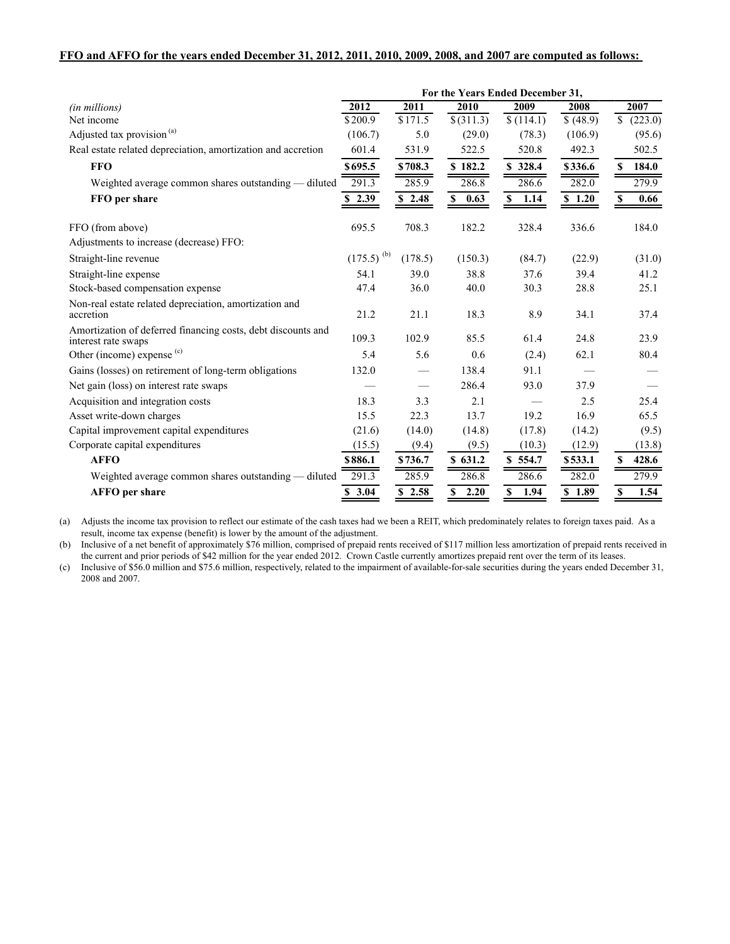#### **FFO and AFFO for the years ended December 31, 2012, 2011, 2010, 2009, 2008, and 2007 are computed as follows:**

|                                                                                     | For the Years Ended December 31, |            |               |                   |           |                  |
|-------------------------------------------------------------------------------------|----------------------------------|------------|---------------|-------------------|-----------|------------------|
| (in millions)                                                                       | 2012                             | 2011       | 2010          | 2009              | 2008      | 2007             |
| Net income                                                                          | \$200.9                          | \$171.5    | $$$ $(311.3)$ | $\sqrt{$(114.1)}$ | \$ (48.9) | \$<br>(223.0)    |
| Adjusted tax provision <sup>(a)</sup>                                               | (106.7)                          | 5.0        | (29.0)        | (78.3)            | (106.9)   | (95.6)           |
| Real estate related depreciation, amortization and accretion                        | 601.4                            | 531.9      | 522.5         | 520.8             | 492.3     | 502.5            |
| <b>FFO</b>                                                                          | \$695.5                          | \$708.3    | \$182.2       | \$328.4           | \$336.6   | 184.0<br>S       |
| Weighted average common shares outstanding — diluted                                | 291.3                            | 285.9      | 286.8         | 286.6             | 282.0     | 279.9            |
| FFO per share                                                                       | \$2.39                           | \$2.48     | \$<br>0.63    | \$<br>1.14        | \$1.20    | <b>S</b><br>0.66 |
| FFO (from above)                                                                    | 695.5                            | 708.3      | 182.2         | 328.4             | 336.6     | 184.0            |
| Adjustments to increase (decrease) FFO:                                             |                                  |            |               |                   |           |                  |
| Straight-line revenue                                                               | $(175.5)^{(b)}$                  | (178.5)    | (150.3)       | (84.7)            | (22.9)    | (31.0)           |
| Straight-line expense                                                               | 54.1                             | 39.0       | 38.8          | 37.6              | 39.4      | 41.2             |
| Stock-based compensation expense                                                    | 47.4                             | 36.0       | 40.0          | 30.3              | 28.8      | 25.1             |
| Non-real estate related depreciation, amortization and<br>accretion                 | 21.2                             | 21.1       | 18.3          | 8.9               | 34.1      | 37.4             |
| Amortization of deferred financing costs, debt discounts and<br>interest rate swaps | 109.3                            | 102.9      | 85.5          | 61.4              | 24.8      | 23.9             |
| Other (income) expense $(c)$                                                        | 5.4                              | 5.6        | 0.6           | (2.4)             | 62.1      | 80.4             |
| Gains (losses) on retirement of long-term obligations                               | 132.0                            |            | 138.4         | 91.1              |           |                  |
| Net gain (loss) on interest rate swaps                                              |                                  |            | 286.4         | 93.0              | 37.9      |                  |
| Acquisition and integration costs                                                   | 18.3                             | 3.3        | 2.1           |                   | 2.5       | 25.4             |
| Asset write-down charges                                                            | 15.5                             | 22.3       | 13.7          | 19.2              | 16.9      | 65.5             |
| Capital improvement capital expenditures                                            | (21.6)                           | (14.0)     | (14.8)        | (17.8)            | (14.2)    | (9.5)            |
| Corporate capital expenditures                                                      | (15.5)                           | (9.4)      | (9.5)         | (10.3)            | (12.9)    | (13.8)           |
| <b>AFFO</b>                                                                         | \$886.1                          | \$736.7    | \$631.2       | \$554.7           | \$533.1   | 428.6<br>S       |
| Weighted average common shares outstanding - diluted                                | 291.3                            | 285.9      | 286.8         | 286.6             | 282.0     | 279.9            |
| <b>AFFO</b> per share                                                               | \$3.04                           | 2.58<br>\$ | \$<br>2.20    | \$<br>1.94        | \$1.89    | 1.54<br>S        |

(a) Adjusts the income tax provision to reflect our estimate of the cash taxes had we been a REIT, which predominately relates to foreign taxes paid. As a result, income tax expense (benefit) is lower by the amount of the adjustment.

(b) Inclusive of a net benefit of approximately \$76 million, comprised of prepaid rents received of \$117 million less amortization of prepaid rents received in the current and prior periods of \$42 million for the year ended 2012. Crown Castle currently amortizes prepaid rent over the term of its leases.

(c) Inclusive of \$56.0 million and \$75.6 million, respectively, related to the impairment of available-for-sale securities during the years ended December 31, 2008 and 2007.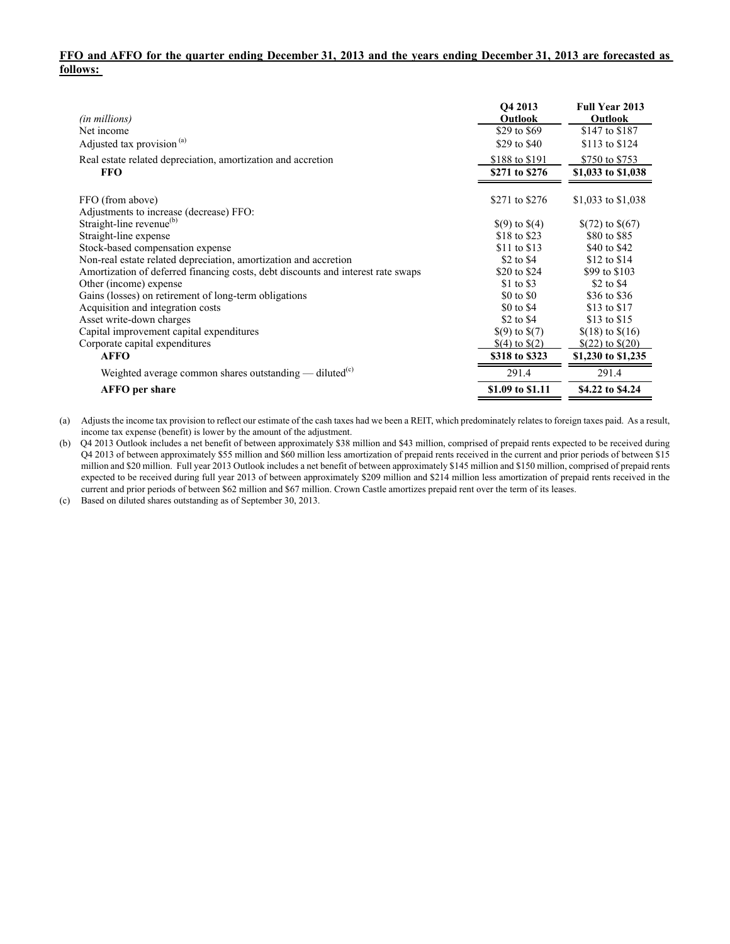## **FFO and AFFO for the quarter ending December 31, 2013 and the years ending December 31, 2013 are forecasted as follows:**

| (in millions)<br>Net income<br>Adjusted tax provision <sup>(a)</sup>             | O <sub>4</sub> 2013<br>Outlook<br>\$29 to \$69<br>\$29 to \$40 | <b>Full Year 2013</b><br>Outlook<br>\$147 to \$187<br>\$113 to \$124 |
|----------------------------------------------------------------------------------|----------------------------------------------------------------|----------------------------------------------------------------------|
| Real estate related depreciation, amortization and accretion<br><b>FFO</b>       | \$188 to \$191<br>\$271 to \$276                               | \$750 to \$753<br>\$1,033 to \$1,038                                 |
|                                                                                  |                                                                |                                                                      |
| FFO (from above)<br>Adjustments to increase (decrease) FFO:                      | \$271 to \$276                                                 | \$1,033 to \$1,038                                                   |
| Straight-line revenue <sup>(b)</sup>                                             | $\$(9)$ to $\$(4)$                                             | $$(72)$ to $$(67)$                                                   |
| Straight-line expense                                                            | \$18 to \$23                                                   | \$80 to \$85                                                         |
| Stock-based compensation expense                                                 | \$11 to \$13                                                   | \$40 to \$42                                                         |
| Non-real estate related depreciation, amortization and accretion                 | \$2 to \$4                                                     | \$12 to \$14                                                         |
| Amortization of deferred financing costs, debt discounts and interest rate swaps | \$20 to \$24                                                   | \$99 to \$103                                                        |
| Other (income) expense                                                           | \$1 to \$3                                                     | \$2 to \$4                                                           |
| Gains (losses) on retirement of long-term obligations                            | \$0 to \$0                                                     | \$36 to \$36                                                         |
| Acquisition and integration costs                                                | \$0 to \$4                                                     | \$13 to \$17                                                         |
| Asset write-down charges                                                         | \$2 to \$4                                                     | \$13 to \$15                                                         |
| Capital improvement capital expenditures                                         | $\$(9)$ to $\$(7)$                                             | $$(18)$ to $$(16)$                                                   |
| Corporate capital expenditures                                                   | $(4)$ to $(2)$                                                 | $$(22)$ to $$(20)$                                                   |
| <b>AFFO</b>                                                                      | \$318 to \$323                                                 | \$1,230 to \$1,235                                                   |
| Weighted average common shares outstanding — diluted <sup>(c)</sup>              | 291.4                                                          | 291.4                                                                |
| <b>AFFO</b> per share                                                            | \$1.09 to \$1.11                                               | \$4.22 to \$4.24                                                     |

(a) Adjusts the income tax provision to reflect our estimate of the cash taxes had we been a REIT, which predominately relates to foreign taxes paid. As a result, income tax expense (benefit) is lower by the amount of the adjustment.

(b) Q4 2013 Outlook includes a net benefit of between approximately \$38 million and \$43 million, comprised of prepaid rents expected to be received during Q4 2013 of between approximately \$55 million and \$60 million less amortization of prepaid rents received in the current and prior periods of between \$15 million and \$20 million. Full year 2013 Outlook includes a net benefit of between approximately \$145 million and \$150 million, comprised of prepaid rents expected to be received during full year 2013 of between approximately \$209 million and \$214 million less amortization of prepaid rents received in the current and prior periods of between \$62 million and \$67 million. Crown Castle amortizes prepaid rent over the term of its leases.

(c) Based on diluted shares outstanding as of September 30, 2013.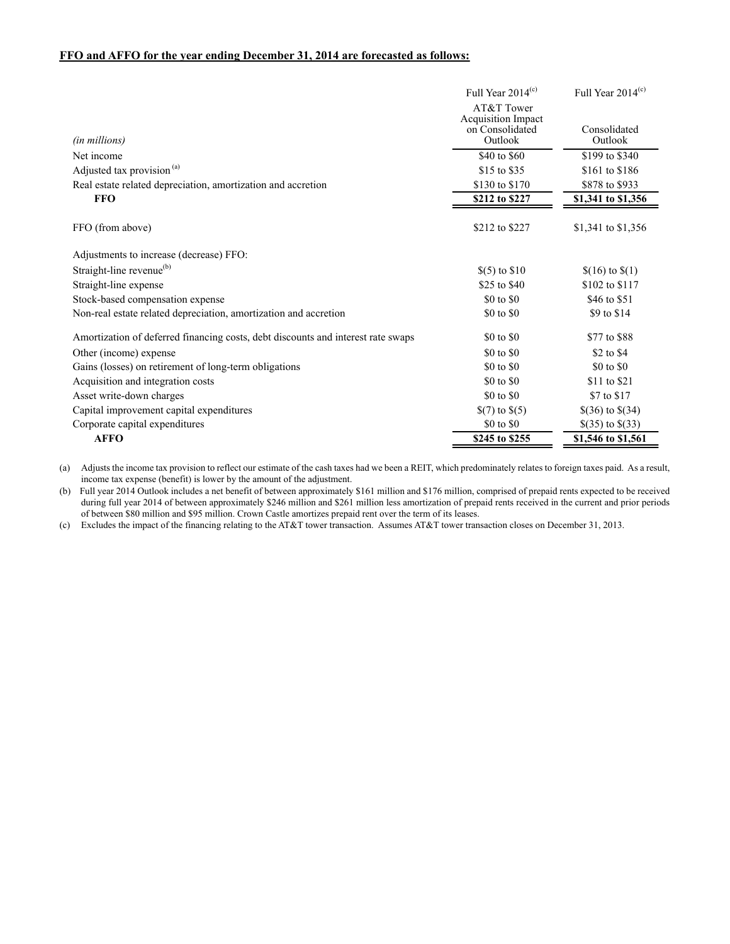### **FFO and AFFO for the year ending December 31, 2014 are forecasted as follows:**

|                                                                                  | Full Year $2014(c)$                     | Full Year $2014(c)$     |
|----------------------------------------------------------------------------------|-----------------------------------------|-------------------------|
|                                                                                  | AT&T Tower<br><b>Acquisition Impact</b> |                         |
| (in millions)                                                                    | on Consolidated<br>Outlook              | Consolidated<br>Outlook |
| Net income                                                                       | \$40 to \$60                            | \$199 to \$340          |
| Adjusted tax provision <sup>(a)</sup>                                            | \$15 to \$35                            | \$161 to \$186          |
| Real estate related depreciation, amortization and accretion                     | \$130 to \$170                          | \$878 to \$933          |
| <b>FFO</b>                                                                       | \$212 to \$227                          | \$1,341 to \$1,356      |
| FFO (from above)                                                                 | \$212 to \$227                          | \$1,341 to \$1,356      |
| Adjustments to increase (decrease) FFO:                                          |                                         |                         |
| Straight-line revenue <sup>(b)</sup>                                             | $$(5)$ to $$10$                         | $$(16)$ to $$(1)$       |
| Straight-line expense                                                            | \$25 to \$40                            | \$102 to \$117          |
| Stock-based compensation expense                                                 | \$0 to \$0                              | \$46 to \$51            |
| Non-real estate related depreciation, amortization and accretion                 | \$0 to \$0                              | \$9 to \$14             |
| Amortization of deferred financing costs, debt discounts and interest rate swaps | \$0 to \$0                              | \$77 to \$88            |
| Other (income) expense                                                           | \$0 to \$0                              | \$2 to \$4              |
| Gains (losses) on retirement of long-term obligations                            | \$0 to \$0                              | \$0 to \$0              |
| Acquisition and integration costs                                                | \$0 to \$0                              | \$11 to \$21            |
| Asset write-down charges                                                         | \$0 to \$0                              | \$7 to \$17             |
| Capital improvement capital expenditures                                         | $\S(7)$ to $\S(5)$                      | $$(36)$ to $$(34)$      |
| Corporate capital expenditures                                                   | \$0 to \$0                              | \$ $(35)$ to \$ $(33)$  |
| <b>AFFO</b>                                                                      | \$245 to \$255                          | \$1,546 to \$1,561      |

(a) Adjusts the income tax provision to reflect our estimate of the cash taxes had we been a REIT, which predominately relates to foreign taxes paid. As a result, income tax expense (benefit) is lower by the amount of the adjustment.

(b) Full year 2014 Outlook includes a net benefit of between approximately \$161 million and \$176 million, comprised of prepaid rents expected to be received during full year 2014 of between approximately \$246 million and \$261 million less amortization of prepaid rents received in the current and prior periods of between \$80 million and \$95 million. Crown Castle amortizes prepaid rent over the term of its leases.

(c) Excludes the impact of the financing relating to the AT&T tower transaction. Assumes AT&T tower transaction closes on December 31, 2013.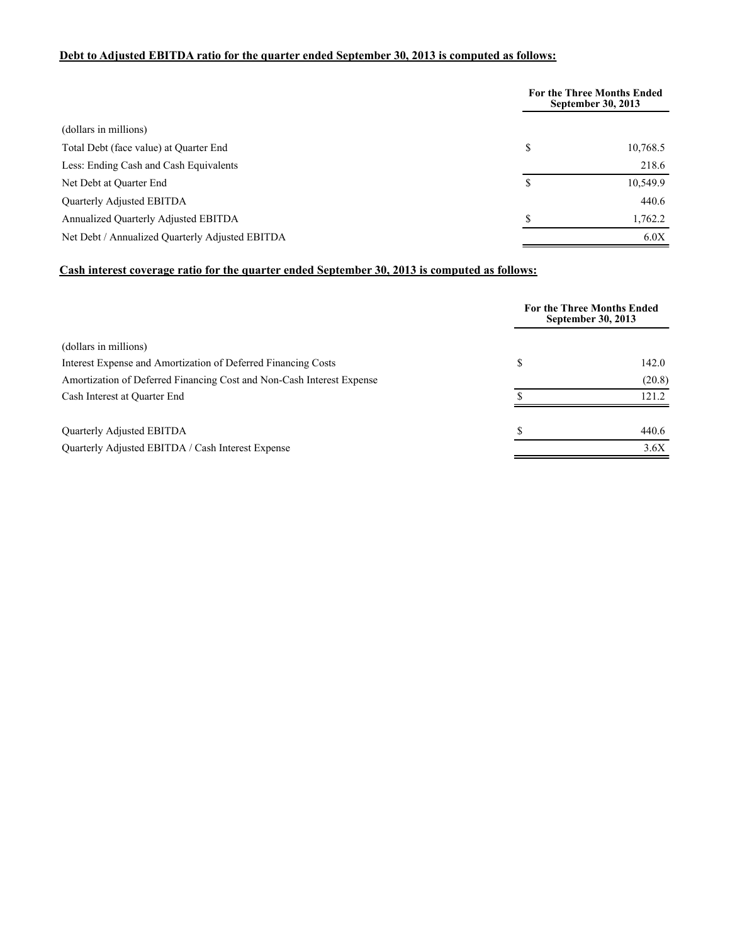# **Debt to Adjusted EBITDA ratio for the quarter ended September 30, 2013 is computed as follows:**

|                                                 | <b>For the Three Months Ended</b><br><b>September 30, 2013</b> |          |
|-------------------------------------------------|----------------------------------------------------------------|----------|
| (dollars in millions)                           |                                                                |          |
| Total Debt (face value) at Quarter End          | \$                                                             | 10,768.5 |
| Less: Ending Cash and Cash Equivalents          |                                                                | 218.6    |
| Net Debt at Quarter End                         | S                                                              | 10,549.9 |
| Quarterly Adjusted EBITDA                       |                                                                | 440.6    |
| Annualized Quarterly Adjusted EBITDA            | \$                                                             | 1,762.2  |
| Net Debt / Annualized Quarterly Adjusted EBITDA |                                                                | 6.0X     |

# **Cash interest coverage ratio for the quarter ended September 30, 2013 is computed as follows:**

|                                                                       |    | <b>For the Three Months Ended</b><br>September 30, 2013 |
|-----------------------------------------------------------------------|----|---------------------------------------------------------|
| (dollars in millions)                                                 |    |                                                         |
| Interest Expense and Amortization of Deferred Financing Costs         | \$ | 142.0                                                   |
| Amortization of Deferred Financing Cost and Non-Cash Interest Expense |    | (20.8)                                                  |
| Cash Interest at Quarter End                                          |    | 121.2                                                   |
| Quarterly Adjusted EBITDA                                             | ፍ  | 440.6                                                   |
| Quarterly Adjusted EBITDA / Cash Interest Expense                     |    | 3.6X                                                    |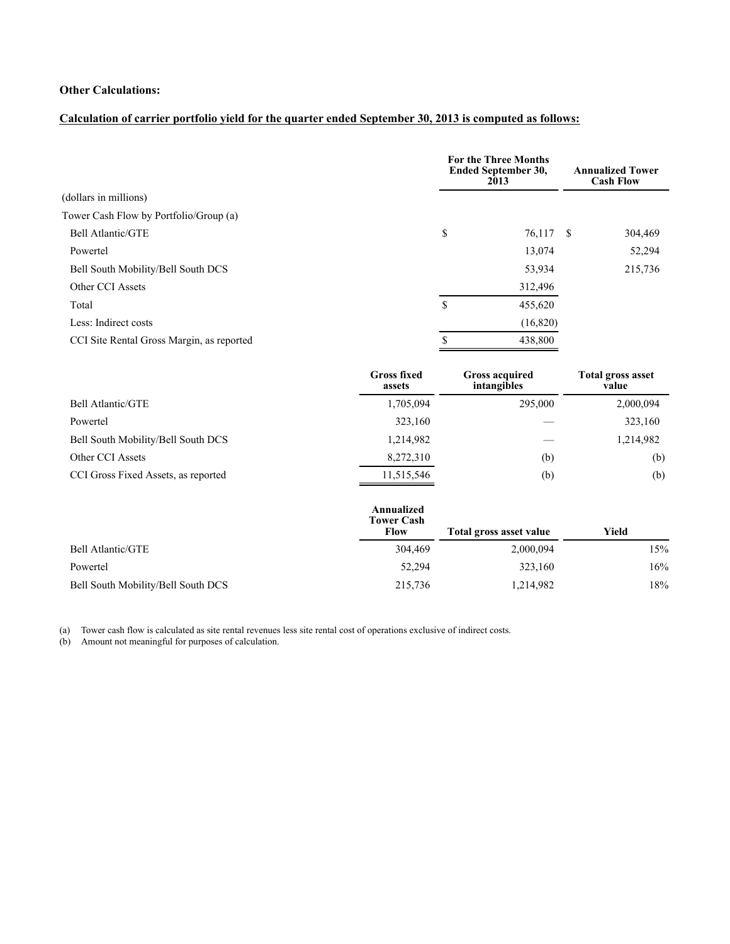# **Other Calculations:**

# **Calculation of carrier portfolio yield for the quarter ended September 30, 2013 is computed as follows:**

|                                           | <b>For the Three Months</b><br>Ended September 30,<br>2013 |  | <b>Annualized Tower</b><br><b>Cash Flow</b> |  |
|-------------------------------------------|------------------------------------------------------------|--|---------------------------------------------|--|
| (dollars in millions)                     |                                                            |  |                                             |  |
| Tower Cash Flow by Portfolio/Group (a)    |                                                            |  |                                             |  |
| Bell Atlantic/GTE                         | \$<br>76,117 \$                                            |  | 304,469                                     |  |
| Powertel                                  | 13,074                                                     |  | 52,294                                      |  |
| Bell South Mobility/Bell South DCS        | 53,934                                                     |  | 215,736                                     |  |
| Other CCI Assets                          | 312,496                                                    |  |                                             |  |
| Total                                     | \$<br>455,620                                              |  |                                             |  |
| Less: Indirect costs                      | (16,820)                                                   |  |                                             |  |
| CCI Site Rental Gross Margin, as reported | 438,800                                                    |  |                                             |  |
|                                           |                                                            |  |                                             |  |

|                                     | <b>Gross fixed</b><br>assets | <b>Gross acquired</b><br>intangibles | <b>Total gross asset</b><br>value |
|-------------------------------------|------------------------------|--------------------------------------|-----------------------------------|
| Bell Atlantic/GTE                   | 1,705,094                    | 295,000                              | 2,000,094                         |
| Powertel                            | 323,160                      |                                      | 323,160                           |
| Bell South Mobility/Bell South DCS  | 1,214,982                    |                                      | 1,214,982                         |
| Other CCI Assets                    | 8,272,310                    | (b)                                  | (b)                               |
| CCI Gross Fixed Assets, as reported | 11,515,546                   | (b)                                  | (b)                               |

|                                    | Annualized<br><b>Tower Cash</b><br>Flow | Total gross asset value | Yield |
|------------------------------------|-----------------------------------------|-------------------------|-------|
| Bell Atlantic/GTE                  | 304,469                                 | 2,000,094               | 15%   |
| Powertel                           | 52,294                                  | 323,160                 | 16%   |
| Bell South Mobility/Bell South DCS | 215,736                                 | 1,214,982               | 18%   |

(a) Tower cash flow is calculated as site rental revenues less site rental cost of operations exclusive of indirect costs.

(b) Amount not meaningful for purposes of calculation.